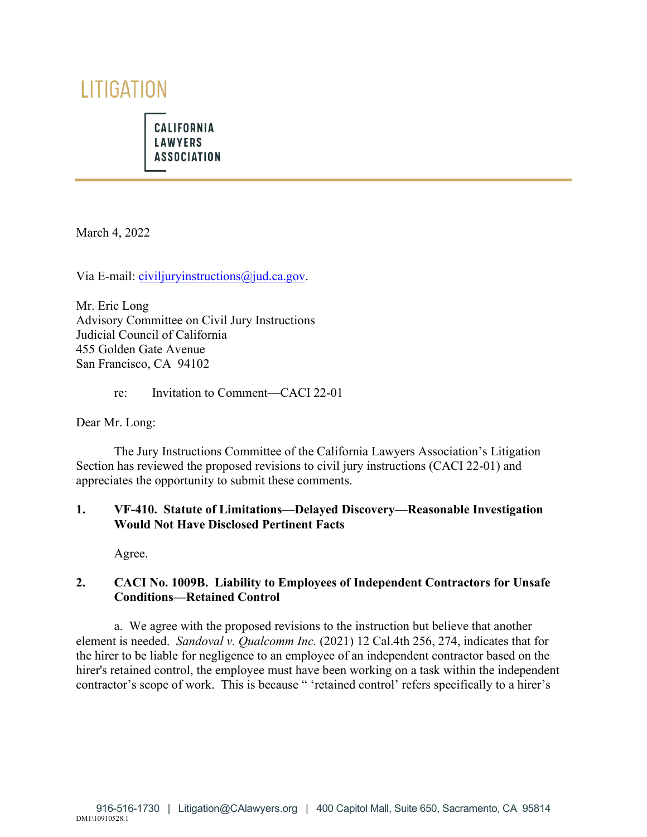# LITIGATION

**CALIFORNIA LAWYERS ASSOCIATION** 

March 4, 2022

Via E-mail: [civiljuryinstructions@jud.ca.gov.](mailto:civiljuryinstructions@jud.ca.gov)

Mr. Eric Long Advisory Committee on Civil Jury Instructions Judicial Council of California 455 Golden Gate Avenue San Francisco, CA 94102

re: Invitation to Comment—CACI 22-01

Dear Mr. Long:

The Jury Instructions Committee of the California Lawyers Association's Litigation Section has reviewed the proposed revisions to civil jury instructions (CACI 22-01) and appreciates the opportunity to submit these comments.

## **1. VF-410. Statute of Limitations—Delayed Discovery—Reasonable Investigation Would Not Have Disclosed Pertinent Facts**

Agree.

## **2. CACI No. 1009B. Liability to Employees of Independent Contractors for Unsafe Conditions—Retained Control**

a. We agree with the proposed revisions to the instruction but believe that another element is needed. *Sandoval v. Qualcomm Inc.* (2021) 12 Cal.4th 256, 274, indicates that for the hirer to be liable for negligence to an employee of an independent contractor based on the hirer's retained control, the employee must have been working on a task within the independent contractor's scope of work. This is because " 'retained control' refers specifically to a hirer's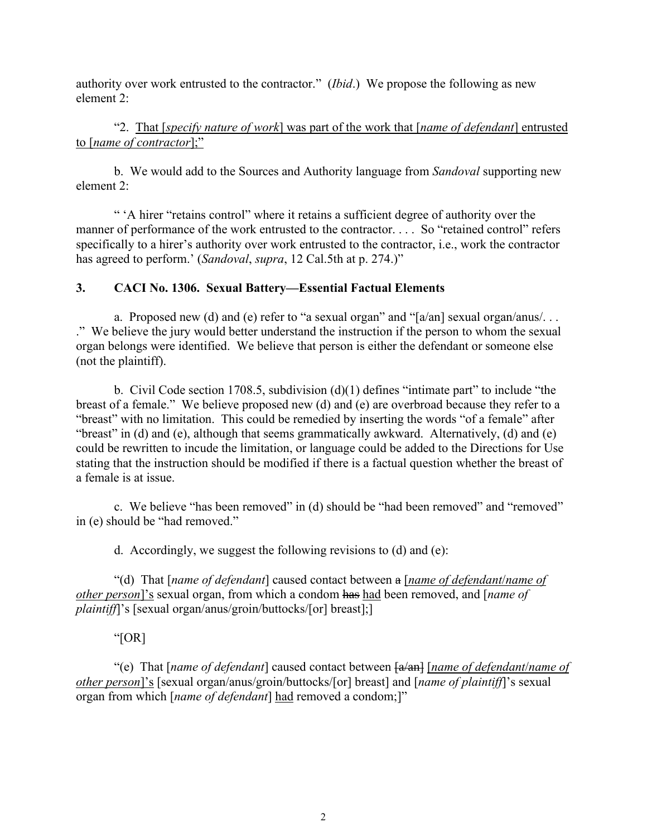authority over work entrusted to the contractor." (*Ibid*.) We propose the following as new element 2:

 "2. That [*specify nature of work*] was part of the work that [*name of defendant*] entrusted to [*name of contractor*];"

b. We would add to the Sources and Authority language from *Sandoval* supporting new element 2:

" 'A hirer "retains control" where it retains a sufficient degree of authority over the manner of performance of the work entrusted to the contractor. . . . So "retained control" refers specifically to a hirer's authority over work entrusted to the contractor, i.e., work the contractor has agreed to perform.' (*Sandoval*, *supra*, 12 Cal.5th at p. 274.)"

## **3. CACI No. 1306. Sexual Battery—Essential Factual Elements**

a. Proposed new (d) and (e) refer to "a sexual organ" and "[a/an] sexual organ/anus/... ." We believe the jury would better understand the instruction if the person to whom the sexual organ belongs were identified. We believe that person is either the defendant or someone else (not the plaintiff).

 b. Civil Code section 1708.5, subdivision (d)(1) defines "intimate part" to include "the breast of a female." We believe proposed new (d) and (e) are overbroad because they refer to a "breast" with no limitation. This could be remedied by inserting the words "of a female" after "breast" in (d) and (e), although that seems grammatically awkward. Alternatively, (d) and (e) could be rewritten to incude the limitation, or language could be added to the Directions for Use stating that the instruction should be modified if there is a factual question whether the breast of a female is at issue.

c. We believe "has been removed" in (d) should be "had been removed" and "removed" in (e) should be "had removed."

d. Accordingly, we suggest the following revisions to (d) and (e):

"(d) That [*name of defendant*] caused contact between a [*name of defendant*/*name of other person*]'s sexual organ, from which a condom has had been removed, and [*name of plaintiff*]'s [sexual organ/anus/groin/buttocks/[or] breast];]

#### "[OR]

"(e) That [*name of defendant*] caused contact between  $\frac{a}{an}$  [*name of defendant*/*name of other person*]'s [sexual organ/anus/groin/buttocks/[or] breast] and [*name of plaintiff*]'s sexual organ from which [*name of defendant*] had removed a condom;]"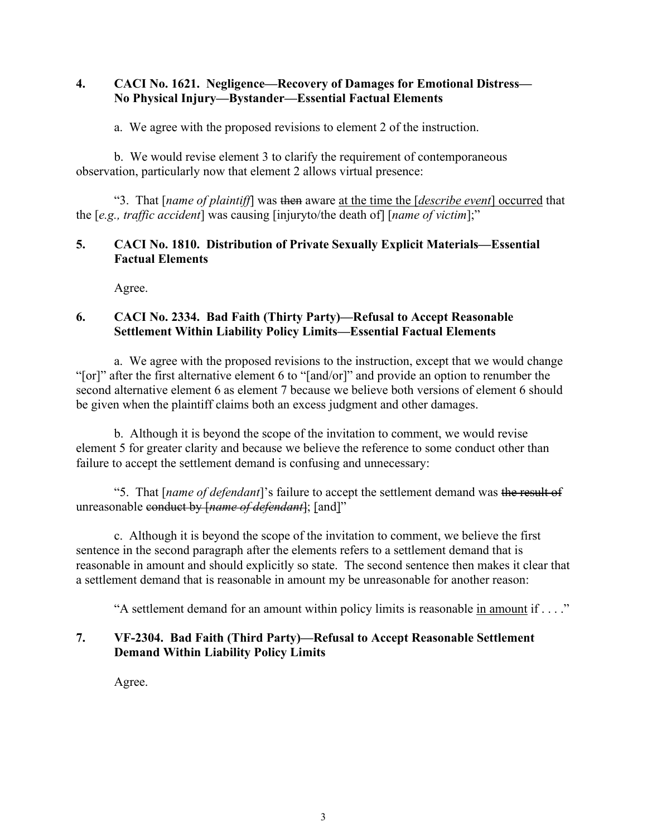# **4. CACI No. 1621. Negligence—Recovery of Damages for Emotional Distress— No Physical Injury—Bystander—Essential Factual Elements**

a. We agree with the proposed revisions to element 2 of the instruction.

b. We would revise element 3 to clarify the requirement of contemporaneous observation, particularly now that element 2 allows virtual presence:

"3. That [*name of plaintiff*] was then aware at the time the [*describe event*] occurred that the [*e.g., traffic accident*] was causing [injuryto/the death of] [*name of victim*];"

# **5. CACI No. 1810. Distribution of Private Sexually Explicit Materials—Essential Factual Elements**

Agree.

# **6. CACI No. 2334. Bad Faith (Thirty Party)—Refusal to Accept Reasonable Settlement Within Liability Policy Limits—Essential Factual Elements**

a. We agree with the proposed revisions to the instruction, except that we would change "[or]" after the first alternative element 6 to "[and/or]" and provide an option to renumber the second alternative element 6 as element 7 because we believe both versions of element 6 should be given when the plaintiff claims both an excess judgment and other damages.

 b. Although it is beyond the scope of the invitation to comment, we would revise element 5 for greater clarity and because we believe the reference to some conduct other than failure to accept the settlement demand is confusing and unnecessary:

 "5. That [*name of defendant*]'s failure to accept the settlement demand was the result of unreasonable conduct by [*name of defendant*]; [and]"

c. Although it is beyond the scope of the invitation to comment, we believe the first sentence in the second paragraph after the elements refers to a settlement demand that is reasonable in amount and should explicitly so state. The second sentence then makes it clear that a settlement demand that is reasonable in amount my be unreasonable for another reason:

"A settlement demand for an amount within policy limits is reasonable in amount if . . . ."

# **7. VF-2304. Bad Faith (Third Party)—Refusal to Accept Reasonable Settlement Demand Within Liability Policy Limits**

Agree.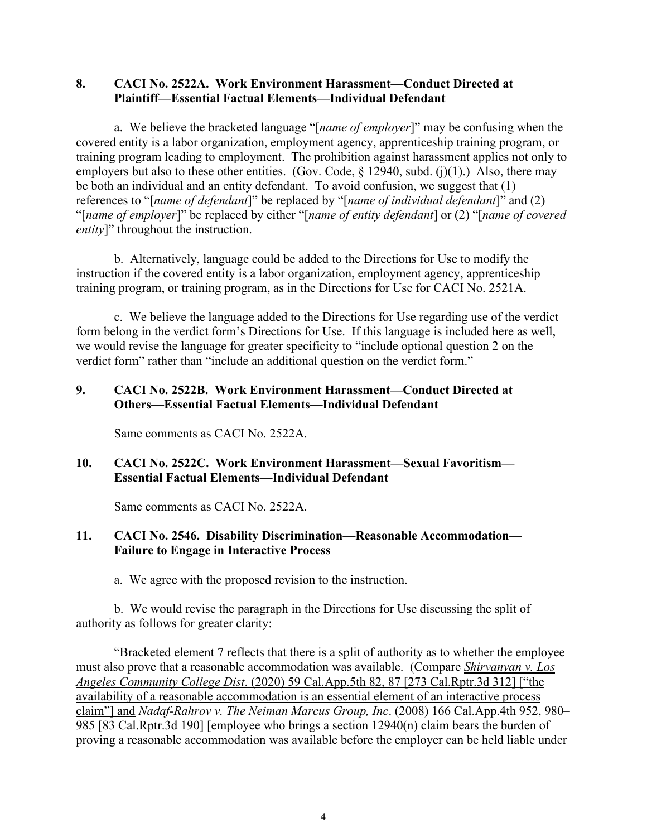## **8. CACI No. 2522A. Work Environment Harassment—Conduct Directed at Plaintiff—Essential Factual Elements—Individual Defendant**

a. We believe the bracketed language "[*name of employer*]" may be confusing when the covered entity is a labor organization, employment agency, apprenticeship training program, or training program leading to employment. The prohibition against harassment applies not only to employers but also to these other entities. (Gov. Code,  $\S$  12940, subd. (j)(1).) Also, there may be both an individual and an entity defendant. To avoid confusion, we suggest that (1) references to "[*name of defendant*]" be replaced by "[*name of individual defendant*]" and (2) "[*name of employer*]" be replaced by either "[*name of entity defendant*] or (2) "[*name of covered entity*]" throughout the instruction.

 b. Alternatively, language could be added to the Directions for Use to modify the instruction if the covered entity is a labor organization, employment agency, apprenticeship training program, or training program, as in the Directions for Use for CACI No. 2521A.

 c. We believe the language added to the Directions for Use regarding use of the verdict form belong in the verdict form's Directions for Use. If this language is included here as well, we would revise the language for greater specificity to "include optional question 2 on the verdict form" rather than "include an additional question on the verdict form."

# **9. CACI No. 2522B. Work Environment Harassment—Conduct Directed at Others—Essential Factual Elements—Individual Defendant**

Same comments as CACI No. 2522A.

# **10. CACI No. 2522C. Work Environment Harassment—Sexual Favoritism— Essential Factual Elements—Individual Defendant**

Same comments as CACI No. 2522A.

# **11. CACI No. 2546. Disability Discrimination—Reasonable Accommodation— Failure to Engage in Interactive Process**

a. We agree with the proposed revision to the instruction.

 b. We would revise the paragraph in the Directions for Use discussing the split of authority as follows for greater clarity:

"Bracketed element 7 reflects that there is a split of authority as to whether the employee must also prove that a reasonable accommodation was available. (Compare *Shirvanyan v. Los Angeles Community College Dist*. (2020) 59 Cal.App.5th 82, 87 [273 Cal.Rptr.3d 312] ["the availability of a reasonable accommodation is an essential element of an interactive process claim"] and *Nadaf-Rahrov v. The Neiman Marcus Group, Inc*. (2008) 166 Cal.App.4th 952, 980– 985 [83 Cal.Rptr.3d 190] [employee who brings a section 12940(n) claim bears the burden of proving a reasonable accommodation was available before the employer can be held liable under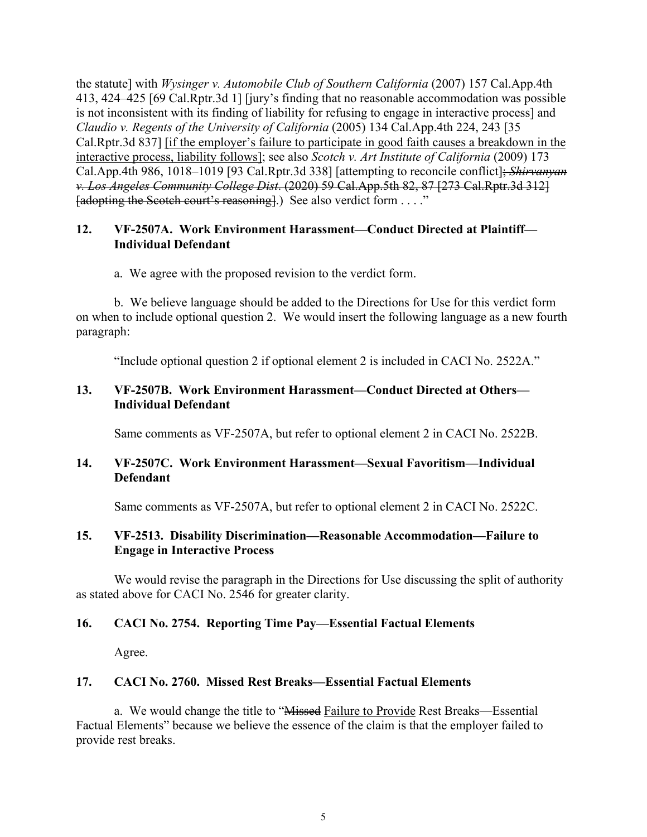the statute] with *Wysinger v. Automobile Club of Southern California* (2007) 157 Cal.App.4th 413, 424–425 [69 Cal.Rptr.3d 1] [jury's finding that no reasonable accommodation was possible is not inconsistent with its finding of liability for refusing to engage in interactive process] and *Claudio v. Regents of the University of California* (2005) 134 Cal.App.4th 224, 243 [35 Cal.Rptr.3d 837] [if the employer's failure to participate in good faith causes a breakdown in the interactive process, liability follows]; see also *Scotch v. Art Institute of California* (2009) 173 Cal.App.4th 986, 1018–1019 [93 Cal.Rptr.3d 338] [attempting to reconcile conflict]; *Shirvanyan v. Los Angeles Community College Dist*. (2020) 59 Cal.App.5th 82, 87 [273 Cal.Rptr.3d 312] [adopting the Scotch court's reasoning].) See also verdict form . . . ."

### **12. VF-2507A. Work Environment Harassment—Conduct Directed at Plaintiff— Individual Defendant**

a. We agree with the proposed revision to the verdict form.

 b. We believe language should be added to the Directions for Use for this verdict form on when to include optional question 2. We would insert the following language as a new fourth paragraph:

"Include optional question 2 if optional element 2 is included in CACI No. 2522A."

# **13. VF-2507B. Work Environment Harassment—Conduct Directed at Others— Individual Defendant**

Same comments as VF-2507A, but refer to optional element 2 in CACI No. 2522B.

# **14. VF-2507C. Work Environment Harassment—Sexual Favoritism—Individual Defendant**

Same comments as VF-2507A, but refer to optional element 2 in CACI No. 2522C.

# **15. VF-2513. Disability Discrimination—Reasonable Accommodation—Failure to Engage in Interactive Process**

We would revise the paragraph in the Directions for Use discussing the split of authority as stated above for CACI No. 2546 for greater clarity.

#### **16. CACI No. 2754. Reporting Time Pay—Essential Factual Elements**

Agree.

#### **17. CACI No. 2760. Missed Rest Breaks—Essential Factual Elements**

a. We would change the title to "Missed Failure to Provide Rest Breaks—Essential Factual Elements" because we believe the essence of the claim is that the employer failed to provide rest breaks.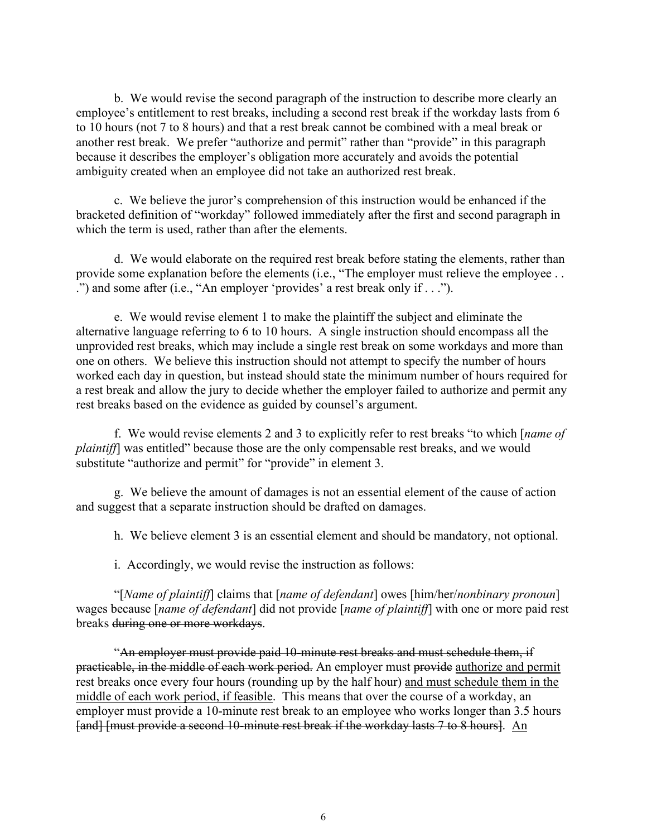b. We would revise the second paragraph of the instruction to describe more clearly an employee's entitlement to rest breaks, including a second rest break if the workday lasts from 6 to 10 hours (not 7 to 8 hours) and that a rest break cannot be combined with a meal break or another rest break. We prefer "authorize and permit" rather than "provide" in this paragraph because it describes the employer's obligation more accurately and avoids the potential ambiguity created when an employee did not take an authorized rest break.

c. We believe the juror's comprehension of this instruction would be enhanced if the bracketed definition of "workday" followed immediately after the first and second paragraph in which the term is used, rather than after the elements.

 d. We would elaborate on the required rest break before stating the elements, rather than provide some explanation before the elements (i.e., "The employer must relieve the employee . . .") and some after (i.e., "An employer 'provides' a rest break only if . . .").

e. We would revise element 1 to make the plaintiff the subject and eliminate the alternative language referring to 6 to 10 hours. A single instruction should encompass all the unprovided rest breaks, which may include a single rest break on some workdays and more than one on others. We believe this instruction should not attempt to specify the number of hours worked each day in question, but instead should state the minimum number of hours required for a rest break and allow the jury to decide whether the employer failed to authorize and permit any rest breaks based on the evidence as guided by counsel's argument.

 f. We would revise elements 2 and 3 to explicitly refer to rest breaks "to which [*name of plaintiff*] was entitled" because those are the only compensable rest breaks, and we would substitute "authorize and permit" for "provide" in element 3.

g. We believe the amount of damages is not an essential element of the cause of action and suggest that a separate instruction should be drafted on damages.

h. We believe element 3 is an essential element and should be mandatory, not optional.

i. Accordingly, we would revise the instruction as follows:

 "[*Name of plaintiff*] claims that [*name of defendant*] owes [him/her/*nonbinary pronoun*] wages because [*name of defendant*] did not provide [*name of plaintiff*] with one or more paid rest breaks during one or more workdays.

 "An employer must provide paid 10-minute rest breaks and must schedule them, if practicable, in the middle of each work period. An employer must provide authorize and permit rest breaks once every four hours (rounding up by the half hour) and must schedule them in the middle of each work period, if feasible. This means that over the course of a workday, an employer must provide a 10-minute rest break to an employee who works longer than 3.5 hours [and] [must provide a second 10-minute rest break if the workday lasts 7 to 8 hours]. An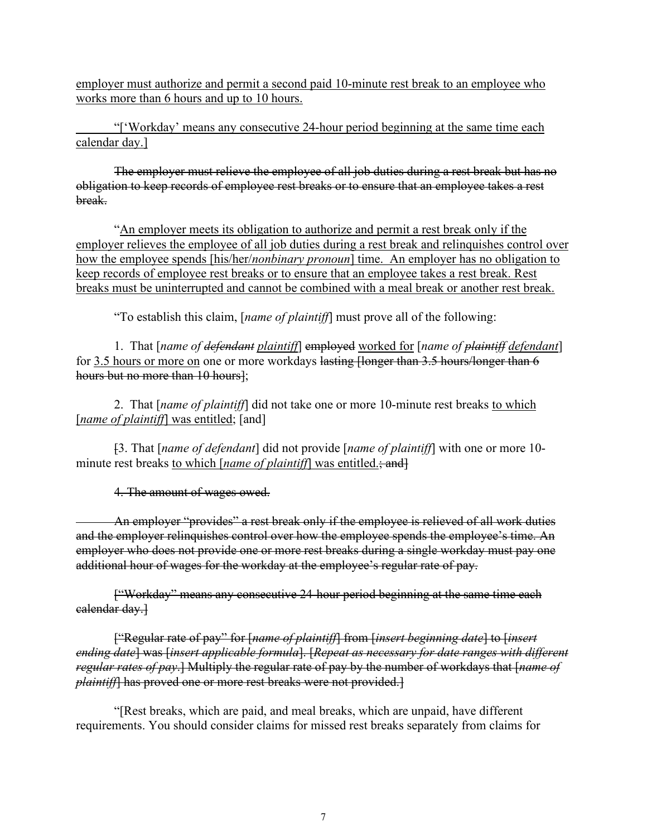employer must authorize and permit a second paid 10-minute rest break to an employee who works more than 6 hours and up to 10 hours.

 "['Workday' means any consecutive 24-hour period beginning at the same time each calendar day.]

The employer must relieve the employee of all job duties during a rest break but has no obligation to keep records of employee rest breaks or to ensure that an employee takes a rest break.

 "An employer meets its obligation to authorize and permit a rest break only if the employer relieves the employee of all job duties during a rest break and relinquishes control over how the employee spends [his/her/*nonbinary pronoun*] time. An employer has no obligation to keep records of employee rest breaks or to ensure that an employee takes a rest break. Rest breaks must be uninterrupted and cannot be combined with a meal break or another rest break.

"To establish this claim, [*name of plaintiff*] must prove all of the following:

 1. That [*name of defendant plaintiff*] employed worked for [*name of plaintiff defendant*] for 3.5 hours or more on one or more workdays lasting [longer than 3.5 hours/longer than 6 hours but no more than 10 hours];

 2. That [*name of plaintiff*] did not take one or more 10-minute rest breaks to which [*name of plaintiff*] was entitled; [and]

 [3. That [*name of defendant*] did not provide [*name of plaintiff*] with one or more 10 minute rest breaks to which [*name of plaintiff*] was entitled.; and]

4. The amount of wages owed.

 An employer "provides" a rest break only if the employee is relieved of all work duties and the employer relinquishes control over how the employee spends the employee's time. An employer who does not provide one or more rest breaks during a single workday must pay one additional hour of wages for the workday at the employee's regular rate of pay.

 ["Workday" means any consecutive 24-hour period beginning at the same time each calendar day.]

["Regular rate of pay" for [*name of plaintiff*] from [*insert beginning date*] to [*insert ending date*] was [*insert applicable formula*]. [*Repeat as necessary for date ranges with different regular rates of pay*.] Multiply the regular rate of pay by the number of workdays that [*name of plaintiff*] has proved one or more rest breaks were not provided.]

 "[Rest breaks, which are paid, and meal breaks, which are unpaid, have different requirements. You should consider claims for missed rest breaks separately from claims for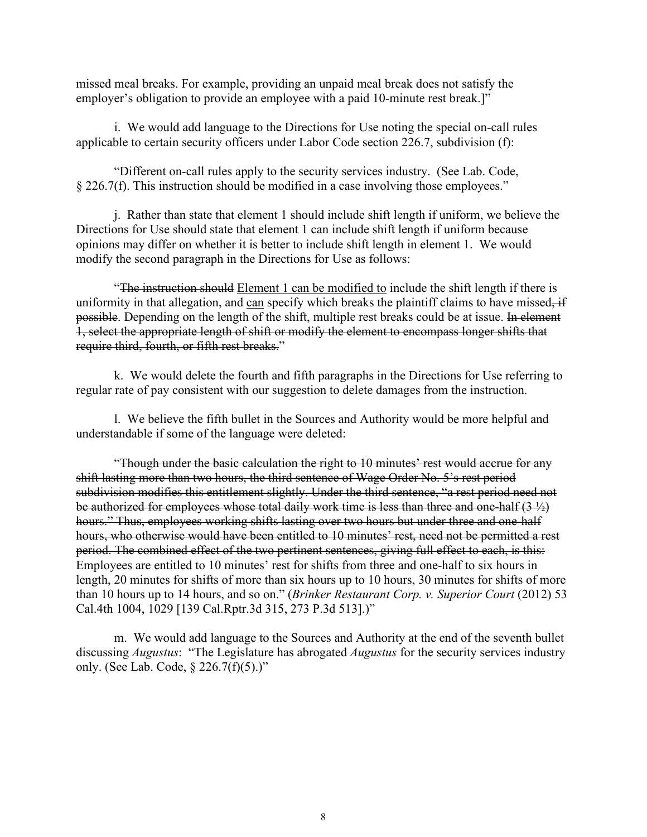missed meal breaks. For example, providing an unpaid meal break does not satisfy the employer's obligation to provide an employee with a paid 10-minute rest break.]"

 i. We would add language to the Directions for Use noting the special on-call rules applicable to certain security officers under Labor Code section 226.7, subdivision (f):

"Different on-call rules apply to the security services industry. (See Lab. Code, § 226.7(f). This instruction should be modified in a case involving those employees."

 j. Rather than state that element 1 should include shift length if uniform, we believe the Directions for Use should state that element 1 can include shift length if uniform because opinions may differ on whether it is better to include shift length in element 1. We would modify the second paragraph in the Directions for Use as follows:

**The instruction should** Element 1 can be modified to include the shift length if there is uniformity in that allegation, and can specify which breaks the plaintiff claims to have missed, if possible. Depending on the length of the shift, multiple rest breaks could be at issue. In element 1, select the appropriate length of shift or modify the element to encompass longer shifts that require third, fourth, or fifth rest breaks."

 k. We would delete the fourth and fifth paragraphs in the Directions for Use referring to regular rate of pay consistent with our suggestion to delete damages from the instruction.

 l. We believe the fifth bullet in the Sources and Authority would be more helpful and understandable if some of the language were deleted:

 "Though under the basic calculation the right to 10 minutes' rest would accrue for any shift lasting more than two hours, the third sentence of Wage Order No. 5's rest period subdivision modifies this entitlement slightly. Under the third sentence, "a rest period need not be authorized for employees whose total daily work time is less than three and one-half  $(3 \frac{1}{2})$ hours." Thus, employees working shifts lasting over two hours but under three and one-half hours, who otherwise would have been entitled to 10 minutes' rest, need not be permitted a rest period. The combined effect of the two pertinent sentences, giving full effect to each, is this: Employees are entitled to 10 minutes' rest for shifts from three and one-half to six hours in length, 20 minutes for shifts of more than six hours up to 10 hours, 30 minutes for shifts of more than 10 hours up to 14 hours, and so on." (*Brinker Restaurant Corp. v. Superior Court* (2012) 53 Cal.4th 1004, 1029 [139 Cal.Rptr.3d 315, 273 P.3d 513].)"

 m. We would add language to the Sources and Authority at the end of the seventh bullet discussing *Augustus*: "The Legislature has abrogated *Augustus* for the security services industry only. (See Lab. Code, § 226.7(f)(5).)"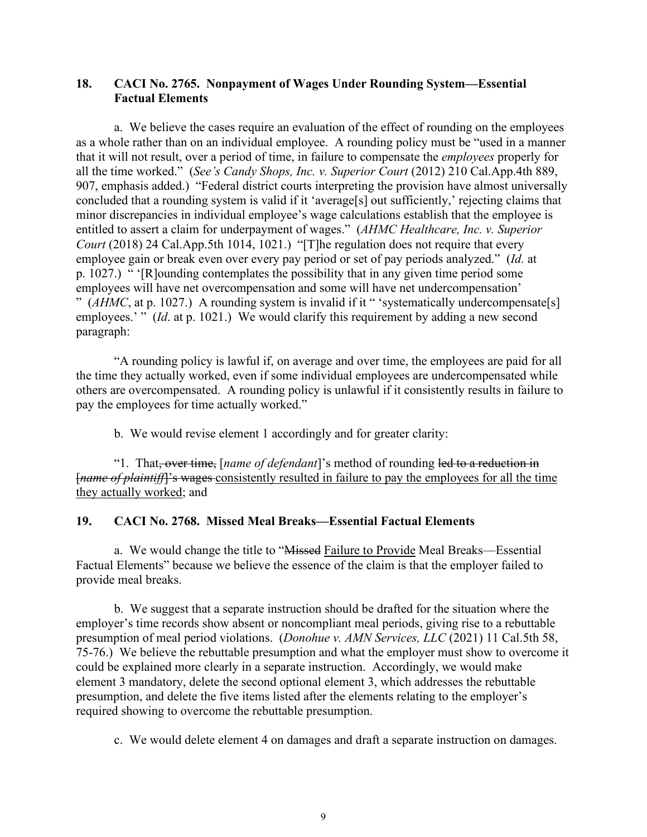#### **18. CACI No. 2765. Nonpayment of Wages Under Rounding System—Essential Factual Elements**

a. We believe the cases require an evaluation of the effect of rounding on the employees as a whole rather than on an individual employee. A rounding policy must be "used in a manner that it will not result, over a period of time, in failure to compensate the *employees* properly for all the time worked." (*See's Candy Shops, Inc. v. Superior Court* (2012) 210 Cal.App.4th 889, 907, emphasis added.) "Federal district courts interpreting the provision have almost universally concluded that a rounding system is valid if it 'average[s] out sufficiently,' rejecting claims that minor discrepancies in individual employee's wage calculations establish that the employee is entitled to assert a claim for underpayment of wages." (*AHMC Healthcare, Inc. v. Superior Court* (2018) 24 Cal.App.5th 1014, 1021.) "[T]he regulation does not require that every employee gain or break even over every pay period or set of pay periods analyzed." (*Id.* at p. 1027.) " '[R]ounding contemplates the possibility that in any given time period some employees will have net overcompensation and some will have net undercompensation' " (*AHMC*, at p. 1027.) A rounding system is invalid if it " 'systematically undercompensate[s] employees.' " (*Id.* at p. 1021.) We would clarify this requirement by adding a new second paragraph:

 "A rounding policy is lawful if, on average and over time, the employees are paid for all the time they actually worked, even if some individual employees are undercompensated while others are overcompensated. A rounding policy is unlawful if it consistently results in failure to pay the employees for time actually worked."

b. We would revise element 1 accordingly and for greater clarity:

 "1. That, over time, [*name of defendant*]'s method of rounding led to a reduction in [*name of plaintiff*]'s wages consistently resulted in failure to pay the employees for all the time they actually worked; and

#### **19. CACI No. 2768. Missed Meal Breaks—Essential Factual Elements**

a. We would change the title to "Missed Failure to Provide Meal Breaks—Essential Factual Elements" because we believe the essence of the claim is that the employer failed to provide meal breaks.

b. We suggest that a separate instruction should be drafted for the situation where the employer's time records show absent or noncompliant meal periods, giving rise to a rebuttable presumption of meal period violations. (*Donohue v. AMN Services, LLC* (2021) 11 Cal.5th 58, 75-76.) We believe the rebuttable presumption and what the employer must show to overcome it could be explained more clearly in a separate instruction. Accordingly, we would make element 3 mandatory, delete the second optional element 3, which addresses the rebuttable presumption, and delete the five items listed after the elements relating to the employer's required showing to overcome the rebuttable presumption.

c. We would delete element 4 on damages and draft a separate instruction on damages.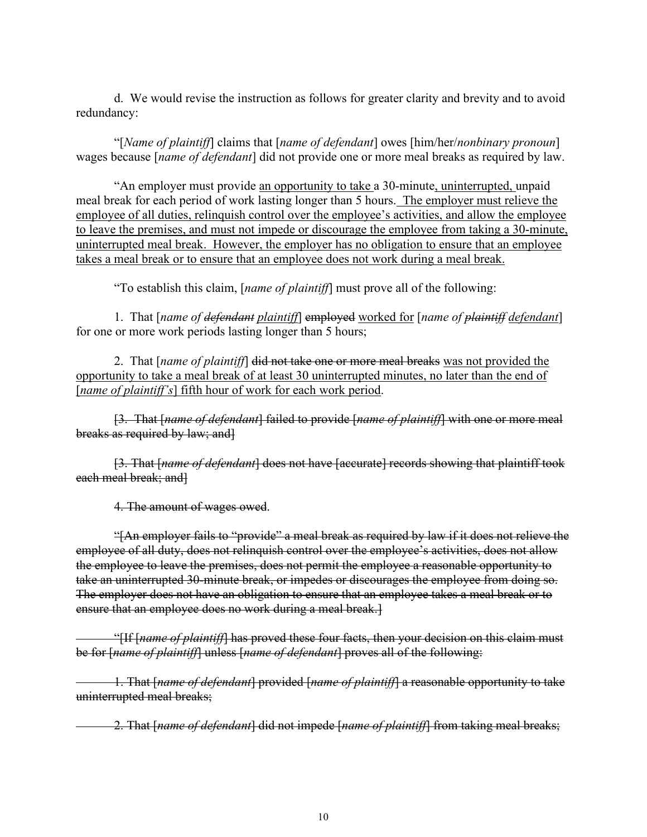d. We would revise the instruction as follows for greater clarity and brevity and to avoid redundancy:

 "[*Name of plaintiff*] claims that [*name of defendant*] owes [him/her/*nonbinary pronoun*] wages because [*name of defendant*] did not provide one or more meal breaks as required by law.

 "An employer must provide an opportunity to take a 30-minute, uninterrupted, unpaid meal break for each period of work lasting longer than 5 hours. The employer must relieve the employee of all duties, relinquish control over the employee's activities, and allow the employee to leave the premises, and must not impede or discourage the employee from taking a 30-minute, uninterrupted meal break. However, the employer has no obligation to ensure that an employee takes a meal break or to ensure that an employee does not work during a meal break.

"To establish this claim, [*name of plaintiff*] must prove all of the following:

 1. That [*name of defendant plaintiff*] employed worked for [*name of plaintiff defendant*] for one or more work periods lasting longer than 5 hours;

 2. That [*name of plaintiff*] did not take one or more meal breaks was not provided the opportunity to take a meal break of at least 30 uninterrupted minutes, no later than the end of [*name of plaintiff's*] fifth hour of work for each work period.

 [3. That [*name of defendant*] failed to provide [*name of plaintiff*] with one or more meal breaks as required by law; and]

 [3. That [*name of defendant*] does not have [accurate] records showing that plaintiff took each meal break; and]

4. The amount of wages owed.

 "[An employer fails to "provide" a meal break as required by law if it does not relieve the employee of all duty, does not relinquish control over the employee's activities, does not allow the employee to leave the premises, does not permit the employee a reasonable opportunity to take an uninterrupted 30-minute break, or impedes or discourages the employee from doing so. The employer does not have an obligation to ensure that an employee takes a meal break or to ensure that an employee does no work during a meal break.]

"[If [*name of plaintiff*] has proved these four facts, then your decision on this claim must be for [*name of plaintiff*] unless [*name of defendant*] proves all of the following:

 1. That [*name of defendant*] provided [*name of plaintiff*] a reasonable opportunity to take uninterrupted meal breaks;

2. That [*name of defendant*] did not impede [*name of plaintiff*] from taking meal breaks;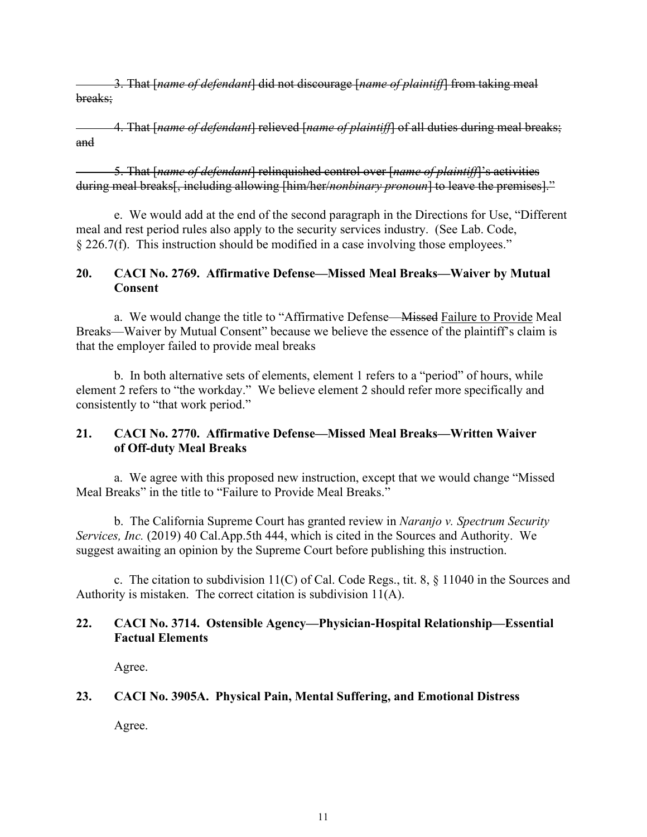3. That [*name of defendant*] did not discourage [*name of plaintiff*] from taking meal breaks;

 4. That [*name of defendant*] relieved [*name of plaintiff*] of all duties during meal breaks; and

 5. That [*name of defendant*] relinquished control over [*name of plaintiff*]'s activities during meal breaks[, including allowing [him/her/*nonbinary pronoun*] to leave the premises]."

 e. We would add at the end of the second paragraph in the Directions for Use, "Different meal and rest period rules also apply to the security services industry. (See Lab. Code, § 226.7(f). This instruction should be modified in a case involving those employees."

## **20. CACI No. 2769. Affirmative Defense—Missed Meal Breaks—Waiver by Mutual Consent**

a. We would change the title to "Affirmative Defense—Missed Failure to Provide Meal Breaks—Waiver by Mutual Consent" because we believe the essence of the plaintiff's claim is that the employer failed to provide meal breaks

 b. In both alternative sets of elements, element 1 refers to a "period" of hours, while element 2 refers to "the workday." We believe element 2 should refer more specifically and consistently to "that work period."

# **21. CACI No. 2770. Affirmative Defense—Missed Meal Breaks—Written Waiver of Off-duty Meal Breaks**

 a. We agree with this proposed new instruction, except that we would change "Missed Meal Breaks" in the title to "Failure to Provide Meal Breaks."

 b. The California Supreme Court has granted review in *Naranjo v. Spectrum Security Services, Inc.* (2019) 40 Cal.App.5th 444, which is cited in the Sources and Authority. We suggest awaiting an opinion by the Supreme Court before publishing this instruction.

c. The citation to subdivision 11(C) of Cal. Code Regs., tit. 8, § 11040 in the Sources and Authority is mistaken. The correct citation is subdivision 11(A).

## **22. CACI No. 3714. Ostensible Agency—Physician-Hospital Relationship—Essential Factual Elements**

Agree.

# **23. CACI No. 3905A. Physical Pain, Mental Suffering, and Emotional Distress**

Agree.